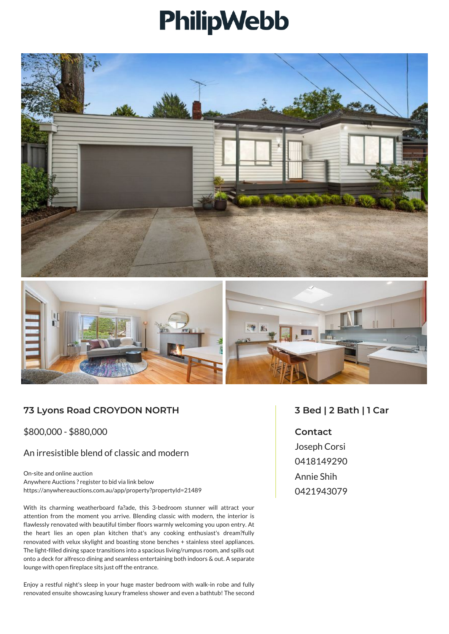## PhilipWebb





## **73 Lyons Road CROYDON NORTH**

\$800,000 - \$880,000

## An irresistible blend of classic and modern

On-site and online auction Anywhere Auctions ? register to bid via link below https://anywhereauctions.com.au/app/property?propertyId=21489

With its charming weatherboard fa?ade, this 3-bedroom stunner will attract your attention from the moment you arrive. Blending classic with modern, the interior is flawlessly renovated with beautiful timber floors warmly welcoming you upon entry. At the heart lies an open plan kitchen that's any cooking enthusiast's dream?fully renovated with velux skylight and boasting stone benches + stainless steel appliances. The light-filled dining space transitions into a spacious living/rumpus room, and spills out onto a deck for alfresco dining and seamless entertaining both indoors & out. A separate lounge with open fireplace sits just off the entrance.

Enjoy a restful night's sleep in your huge master bedroom with walk-in robe and fully renovated ensuite showcasing luxury frameless shower and even a bathtub! The second

## **3 Bed | 2 Bath | 1 Car**

**Contact** Joseph Corsi 0418149290 Annie Shih 0421943079